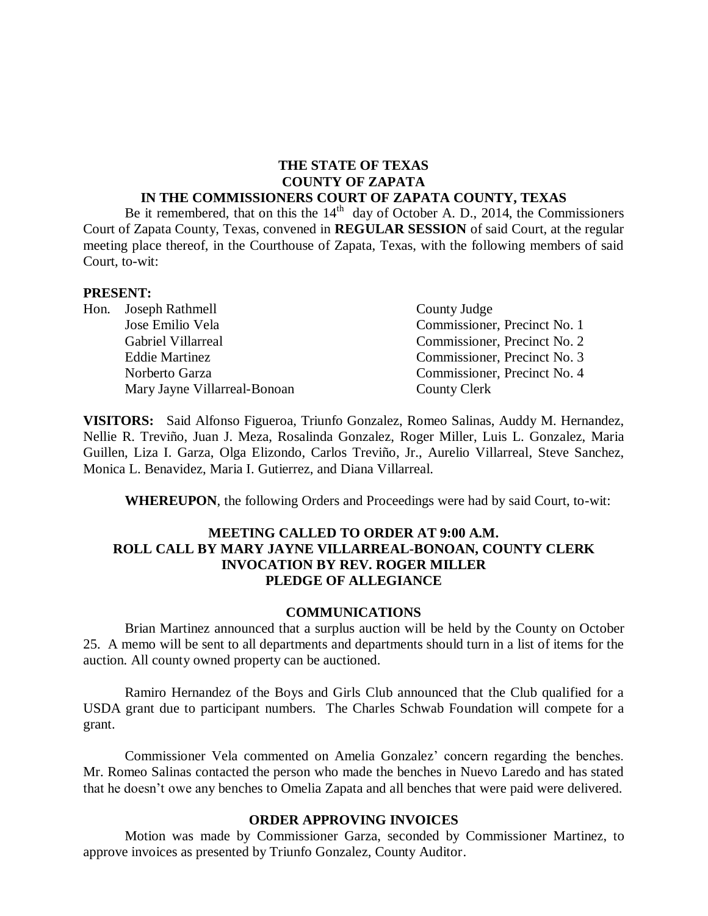#### **THE STATE OF TEXAS COUNTY OF ZAPATA IN THE COMMISSIONERS COURT OF ZAPATA COUNTY, TEXAS**

Be it remembered, that on this the  $14<sup>th</sup>$  day of October A. D., 2014, the Commissioners Court of Zapata County, Texas, convened in **REGULAR SESSION** of said Court, at the regular meeting place thereof, in the Courthouse of Zapata, Texas, with the following members of said Court, to-wit:

#### **PRESENT:**

| Hon. Joseph Rathmell         | County Judge                 |  |
|------------------------------|------------------------------|--|
| Jose Emilio Vela             | Commissioner, Precinct No. 1 |  |
| Gabriel Villarreal           | Commissioner, Precinct No. 2 |  |
| <b>Eddie Martinez</b>        | Commissioner, Precinct No. 3 |  |
| Norberto Garza               | Commissioner, Precinct No. 4 |  |
| Mary Jayne Villarreal-Bonoan | County Clerk                 |  |

**VISITORS:** Said Alfonso Figueroa, Triunfo Gonzalez, Romeo Salinas, Auddy M. Hernandez, Nellie R. Treviño, Juan J. Meza, Rosalinda Gonzalez, Roger Miller, Luis L. Gonzalez, Maria Guillen, Liza I. Garza, Olga Elizondo, Carlos Treviño, Jr., Aurelio Villarreal, Steve Sanchez, Monica L. Benavidez, Maria I. Gutierrez, and Diana Villarreal.

**WHEREUPON**, the following Orders and Proceedings were had by said Court, to-wit:

#### **MEETING CALLED TO ORDER AT 9:00 A.M. ROLL CALL BY MARY JAYNE VILLARREAL-BONOAN, COUNTY CLERK INVOCATION BY REV. ROGER MILLER PLEDGE OF ALLEGIANCE**

#### **COMMUNICATIONS**

Brian Martinez announced that a surplus auction will be held by the County on October 25. A memo will be sent to all departments and departments should turn in a list of items for the auction. All county owned property can be auctioned.

Ramiro Hernandez of the Boys and Girls Club announced that the Club qualified for a USDA grant due to participant numbers. The Charles Schwab Foundation will compete for a grant.

Commissioner Vela commented on Amelia Gonzalez' concern regarding the benches. Mr. Romeo Salinas contacted the person who made the benches in Nuevo Laredo and has stated that he doesn't owe any benches to Omelia Zapata and all benches that were paid were delivered.

#### **ORDER APPROVING INVOICES**

Motion was made by Commissioner Garza, seconded by Commissioner Martinez, to approve invoices as presented by Triunfo Gonzalez, County Auditor.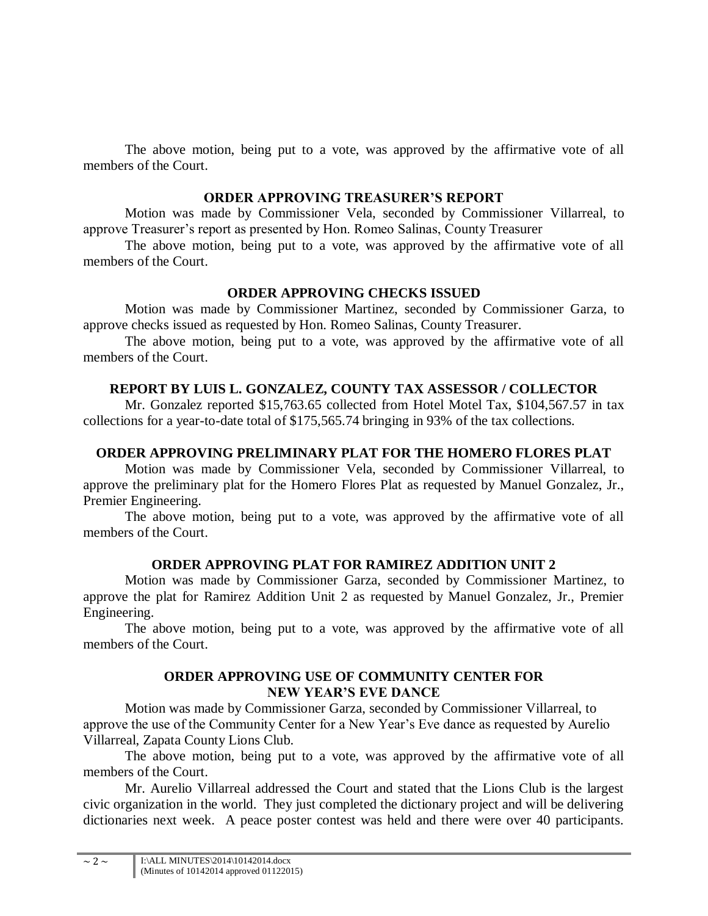The above motion, being put to a vote, was approved by the affirmative vote of all members of the Court.

### **ORDER APPROVING TREASURER'S REPORT**

Motion was made by Commissioner Vela, seconded by Commissioner Villarreal, to approve Treasurer's report as presented by Hon. Romeo Salinas, County Treasurer

The above motion, being put to a vote, was approved by the affirmative vote of all members of the Court.

# **ORDER APPROVING CHECKS ISSUED**

Motion was made by Commissioner Martinez, seconded by Commissioner Garza, to approve checks issued as requested by Hon. Romeo Salinas, County Treasurer.

The above motion, being put to a vote, was approved by the affirmative vote of all members of the Court.

# **REPORT BY LUIS L. GONZALEZ, COUNTY TAX ASSESSOR / COLLECTOR**

Mr. Gonzalez reported \$15,763.65 collected from Hotel Motel Tax, \$104,567.57 in tax collections for a year-to-date total of \$175,565.74 bringing in 93% of the tax collections.

# **ORDER APPROVING PRELIMINARY PLAT FOR THE HOMERO FLORES PLAT**

Motion was made by Commissioner Vela, seconded by Commissioner Villarreal, to approve the preliminary plat for the Homero Flores Plat as requested by Manuel Gonzalez, Jr., Premier Engineering.

The above motion, being put to a vote, was approved by the affirmative vote of all members of the Court.

# **ORDER APPROVING PLAT FOR RAMIREZ ADDITION UNIT 2**

Motion was made by Commissioner Garza, seconded by Commissioner Martinez, to approve the plat for Ramirez Addition Unit 2 as requested by Manuel Gonzalez, Jr., Premier Engineering.

The above motion, being put to a vote, was approved by the affirmative vote of all members of the Court.

# **ORDER APPROVING USE OF COMMUNITY CENTER FOR NEW YEAR'S EVE DANCE**

Motion was made by Commissioner Garza, seconded by Commissioner Villarreal, to approve the use of the Community Center for a New Year's Eve dance as requested by Aurelio Villarreal, Zapata County Lions Club.

The above motion, being put to a vote, was approved by the affirmative vote of all members of the Court.

Mr. Aurelio Villarreal addressed the Court and stated that the Lions Club is the largest civic organization in the world. They just completed the dictionary project and will be delivering dictionaries next week. A peace poster contest was held and there were over 40 participants.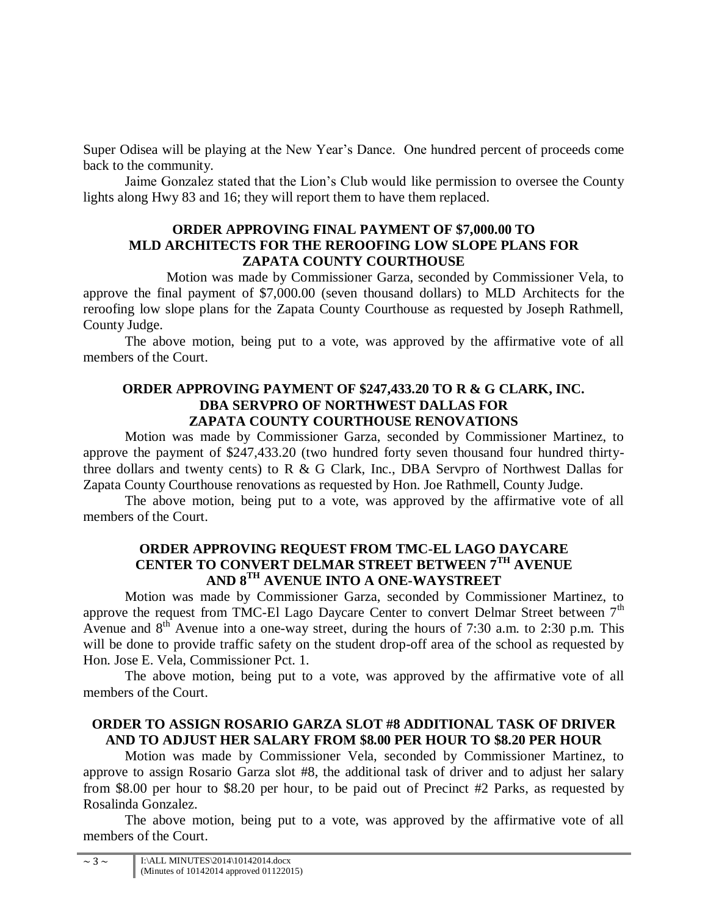Super Odisea will be playing at the New Year's Dance. One hundred percent of proceeds come back to the community.

Jaime Gonzalez stated that the Lion's Club would like permission to oversee the County lights along Hwy 83 and 16; they will report them to have them replaced.

### **ORDER APPROVING FINAL PAYMENT OF \$7,000.00 TO MLD ARCHITECTS FOR THE REROOFING LOW SLOPE PLANS FOR ZAPATA COUNTY COURTHOUSE**

Motion was made by Commissioner Garza, seconded by Commissioner Vela, to approve the final payment of \$7,000.00 (seven thousand dollars) to MLD Architects for the reroofing low slope plans for the Zapata County Courthouse as requested by Joseph Rathmell, County Judge.

The above motion, being put to a vote, was approved by the affirmative vote of all members of the Court.

### **ORDER APPROVING PAYMENT OF \$247,433.20 TO R & G CLARK, INC. DBA SERVPRO OF NORTHWEST DALLAS FOR ZAPATA COUNTY COURTHOUSE RENOVATIONS**

Motion was made by Commissioner Garza, seconded by Commissioner Martinez, to approve the payment of \$247,433.20 (two hundred forty seven thousand four hundred thirtythree dollars and twenty cents) to R & G Clark, Inc., DBA Servpro of Northwest Dallas for Zapata County Courthouse renovations as requested by Hon. Joe Rathmell, County Judge.

The above motion, being put to a vote, was approved by the affirmative vote of all members of the Court.

### **ORDER APPROVING REQUEST FROM TMC-EL LAGO DAYCARE CENTER TO CONVERT DELMAR STREET BETWEEN 7TH AVENUE AND 8TH AVENUE INTO A ONE-WAYSTREET**

Motion was made by Commissioner Garza, seconded by Commissioner Martinez, to approve the request from TMC-El Lago Daycare Center to convert Delmar Street between  $7<sup>th</sup>$ Avenue and  $8<sup>th</sup>$  Avenue into a one-way street, during the hours of 7:30 a.m. to 2:30 p.m. This will be done to provide traffic safety on the student drop-off area of the school as requested by Hon. Jose E. Vela, Commissioner Pct. 1.

The above motion, being put to a vote, was approved by the affirmative vote of all members of the Court.

# **ORDER TO ASSIGN ROSARIO GARZA SLOT #8 ADDITIONAL TASK OF DRIVER AND TO ADJUST HER SALARY FROM \$8.00 PER HOUR TO \$8.20 PER HOUR**

Motion was made by Commissioner Vela, seconded by Commissioner Martinez, to approve to assign Rosario Garza slot #8, the additional task of driver and to adjust her salary from \$8.00 per hour to \$8.20 per hour, to be paid out of Precinct #2 Parks, as requested by Rosalinda Gonzalez.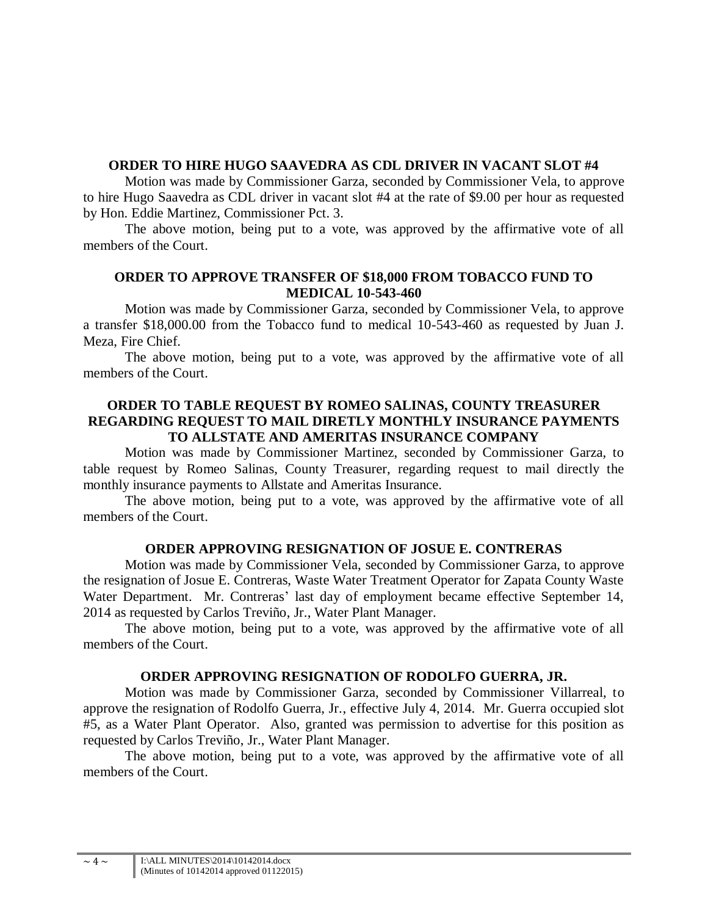# **ORDER TO HIRE HUGO SAAVEDRA AS CDL DRIVER IN VACANT SLOT #4**

Motion was made by Commissioner Garza, seconded by Commissioner Vela, to approve to hire Hugo Saavedra as CDL driver in vacant slot #4 at the rate of \$9.00 per hour as requested by Hon. Eddie Martinez, Commissioner Pct. 3.

The above motion, being put to a vote, was approved by the affirmative vote of all members of the Court.

# **ORDER TO APPROVE TRANSFER OF \$18,000 FROM TOBACCO FUND TO MEDICAL 10-543-460**

Motion was made by Commissioner Garza, seconded by Commissioner Vela, to approve a transfer \$18,000.00 from the Tobacco fund to medical 10-543-460 as requested by Juan J. Meza, Fire Chief.

The above motion, being put to a vote, was approved by the affirmative vote of all members of the Court.

### **ORDER TO TABLE REQUEST BY ROMEO SALINAS, COUNTY TREASURER REGARDING REQUEST TO MAIL DIRETLY MONTHLY INSURANCE PAYMENTS TO ALLSTATE AND AMERITAS INSURANCE COMPANY**

Motion was made by Commissioner Martinez, seconded by Commissioner Garza, to table request by Romeo Salinas, County Treasurer, regarding request to mail directly the monthly insurance payments to Allstate and Ameritas Insurance.

The above motion, being put to a vote, was approved by the affirmative vote of all members of the Court.

# **ORDER APPROVING RESIGNATION OF JOSUE E. CONTRERAS**

Motion was made by Commissioner Vela, seconded by Commissioner Garza, to approve the resignation of Josue E. Contreras, Waste Water Treatment Operator for Zapata County Waste Water Department. Mr. Contreras' last day of employment became effective September 14, 2014 as requested by Carlos Treviño, Jr., Water Plant Manager.

The above motion, being put to a vote, was approved by the affirmative vote of all members of the Court.

### **ORDER APPROVING RESIGNATION OF RODOLFO GUERRA, JR.**

Motion was made by Commissioner Garza, seconded by Commissioner Villarreal, to approve the resignation of Rodolfo Guerra, Jr., effective July 4, 2014. Mr. Guerra occupied slot #5, as a Water Plant Operator. Also, granted was permission to advertise for this position as requested by Carlos Treviño, Jr., Water Plant Manager.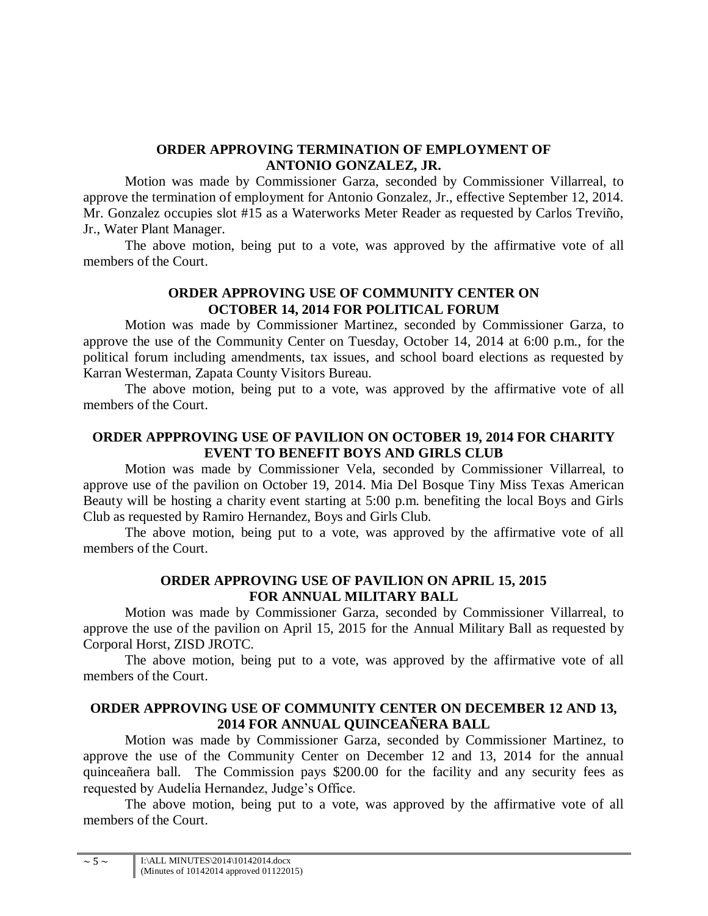### **ORDER APPROVING TERMINATION OF EMPLOYMENT OF ANTONIO GONZALEZ, JR.**

Motion was made by Commissioner Garza, seconded by Commissioner Villarreal, to approve the termination of employment for Antonio Gonzalez, Jr., effective September 12, 2014. Mr. Gonzalez occupies slot #15 as a Waterworks Meter Reader as requested by Carlos Treviño, Jr., Water Plant Manager.

The above motion, being put to a vote, was approved by the affirmative vote of all members of the Court.

# **ORDER APPROVING USE OF COMMUNITY CENTER ON OCTOBER 14, 2014 FOR POLITICAL FORUM**

Motion was made by Commissioner Martinez, seconded by Commissioner Garza, to approve the use of the Community Center on Tuesday, October 14, 2014 at 6:00 p.m., for the political forum including amendments, tax issues, and school board elections as requested by Karran Westerman, Zapata County Visitors Bureau.

The above motion, being put to a vote, was approved by the affirmative vote of all members of the Court.

# **ORDER APPPROVING USE OF PAVILION ON OCTOBER 19, 2014 FOR CHARITY EVENT TO BENEFIT BOYS AND GIRLS CLUB**

Motion was made by Commissioner Vela, seconded by Commissioner Villarreal, to approve use of the pavilion on October 19, 2014. Mia Del Bosque Tiny Miss Texas American Beauty will be hosting a charity event starting at 5:00 p.m. benefiting the local Boys and Girls Club as requested by Ramiro Hernandez, Boys and Girls Club.

The above motion, being put to a vote, was approved by the affirmative vote of all members of the Court.

#### **ORDER APPROVING USE OF PAVILION ON APRIL 15, 2015 FOR ANNUAL MILITARY BALL**

Motion was made by Commissioner Garza, seconded by Commissioner Villarreal, to approve the use of the pavilion on April 15, 2015 for the Annual Military Ball as requested by Corporal Horst, ZISD JROTC.

The above motion, being put to a vote, was approved by the affirmative vote of all members of the Court.

# **ORDER APPROVING USE OF COMMUNITY CENTER ON DECEMBER 12 AND 13, 2014 FOR ANNUAL QUINCEAÑERA BALL**

Motion was made by Commissioner Garza, seconded by Commissioner Martinez, to approve the use of the Community Center on December 12 and 13, 2014 for the annual quinceañera ball. The Commission pays \$200.00 for the facility and any security fees as requested by Audelia Hernandez, Judge's Office.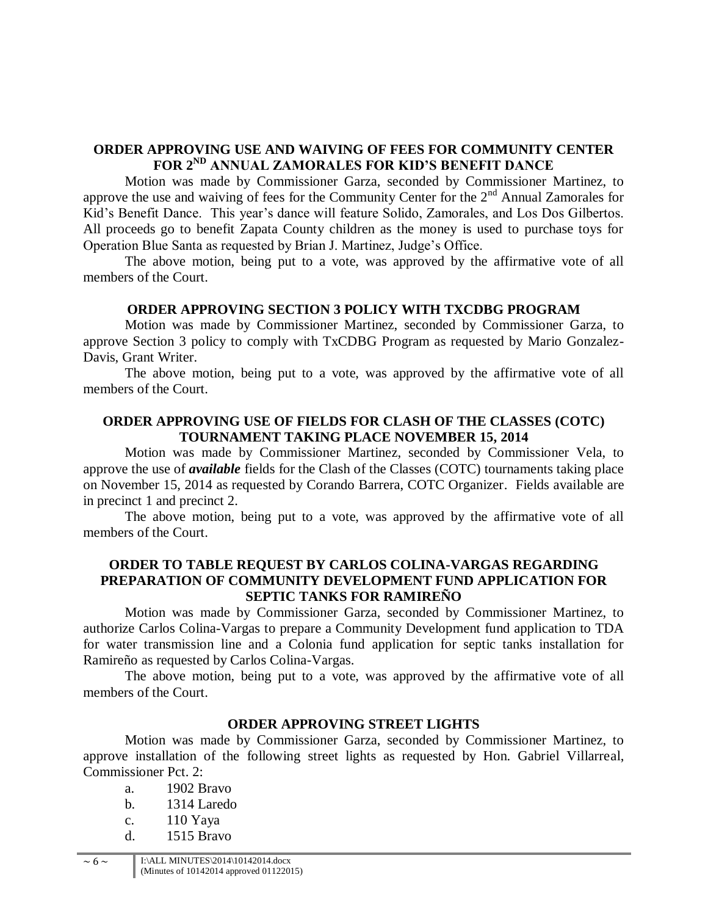# **ORDER APPROVING USE AND WAIVING OF FEES FOR COMMUNITY CENTER FOR 2ND ANNUAL ZAMORALES FOR KID'S BENEFIT DANCE**

Motion was made by Commissioner Garza, seconded by Commissioner Martinez, to approve the use and waiving of fees for the Community Center for the  $2<sup>nd</sup>$  Annual Zamorales for Kid's Benefit Dance. This year's dance will feature Solido, Zamorales, and Los Dos Gilbertos. All proceeds go to benefit Zapata County children as the money is used to purchase toys for Operation Blue Santa as requested by Brian J. Martinez, Judge's Office.

The above motion, being put to a vote, was approved by the affirmative vote of all members of the Court.

#### **ORDER APPROVING SECTION 3 POLICY WITH TXCDBG PROGRAM**

Motion was made by Commissioner Martinez, seconded by Commissioner Garza, to approve Section 3 policy to comply with TxCDBG Program as requested by Mario Gonzalez-Davis, Grant Writer.

The above motion, being put to a vote, was approved by the affirmative vote of all members of the Court.

#### **ORDER APPROVING USE OF FIELDS FOR CLASH OF THE CLASSES (COTC) TOURNAMENT TAKING PLACE NOVEMBER 15, 2014**

Motion was made by Commissioner Martinez, seconded by Commissioner Vela, to approve the use of *available* fields for the Clash of the Classes (COTC) tournaments taking place on November 15, 2014 as requested by Corando Barrera, COTC Organizer. Fields available are in precinct 1 and precinct 2.

The above motion, being put to a vote, was approved by the affirmative vote of all members of the Court.

### **ORDER TO TABLE REQUEST BY CARLOS COLINA-VARGAS REGARDING PREPARATION OF COMMUNITY DEVELOPMENT FUND APPLICATION FOR SEPTIC TANKS FOR RAMIREÑO**

Motion was made by Commissioner Garza, seconded by Commissioner Martinez, to authorize Carlos Colina-Vargas to prepare a Community Development fund application to TDA for water transmission line and a Colonia fund application for septic tanks installation for Ramireño as requested by Carlos Colina-Vargas.

The above motion, being put to a vote, was approved by the affirmative vote of all members of the Court.

#### **ORDER APPROVING STREET LIGHTS**

Motion was made by Commissioner Garza, seconded by Commissioner Martinez, to approve installation of the following street lights as requested by Hon. Gabriel Villarreal, Commissioner Pct. 2:

- a. 1902 Bravo
- b. 1314 Laredo
- c. 110 Yaya
- d. 1515 Bravo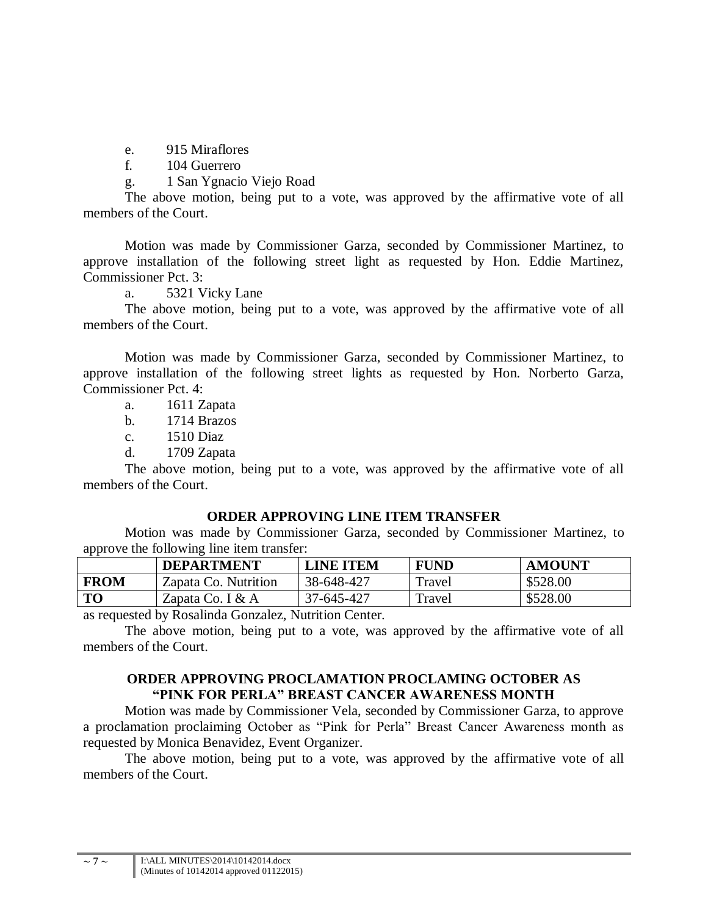e. 915 Miraflores

f. 104 Guerrero

g. 1 San Ygnacio Viejo Road

The above motion, being put to a vote, was approved by the affirmative vote of all members of the Court.

Motion was made by Commissioner Garza, seconded by Commissioner Martinez, to approve installation of the following street light as requested by Hon. Eddie Martinez, Commissioner Pct. 3:

a. 5321 Vicky Lane

The above motion, being put to a vote, was approved by the affirmative vote of all members of the Court.

Motion was made by Commissioner Garza, seconded by Commissioner Martinez, to approve installation of the following street lights as requested by Hon. Norberto Garza, Commissioner Pct. 4:

a. 1611 Zapata

b. 1714 Brazos

c. 1510 Diaz

d. 1709 Zapata

The above motion, being put to a vote, was approved by the affirmative vote of all members of the Court.

#### **ORDER APPROVING LINE ITEM TRANSFER**

Motion was made by Commissioner Garza, seconded by Commissioner Martinez, to approve the following line item transfer:

|             | <b>DEPARTMENT</b>    | <b>LINE ITEM</b> | <b>FUND</b> | <b>AMOUNT</b> |
|-------------|----------------------|------------------|-------------|---------------|
| <b>FROM</b> | Zapata Co. Nutrition | 38-648-427       | Travel      | \$528.00      |
| TO          | Zapata Co. I $& A$   | 37-645-427       | Travel      | \$528.00      |

as requested by Rosalinda Gonzalez, Nutrition Center.

The above motion, being put to a vote, was approved by the affirmative vote of all members of the Court.

# **ORDER APPROVING PROCLAMATION PROCLAMING OCTOBER AS "PINK FOR PERLA" BREAST CANCER AWARENESS MONTH**

Motion was made by Commissioner Vela, seconded by Commissioner Garza, to approve a proclamation proclaiming October as "Pink for Perla" Breast Cancer Awareness month as requested by Monica Benavidez, Event Organizer.